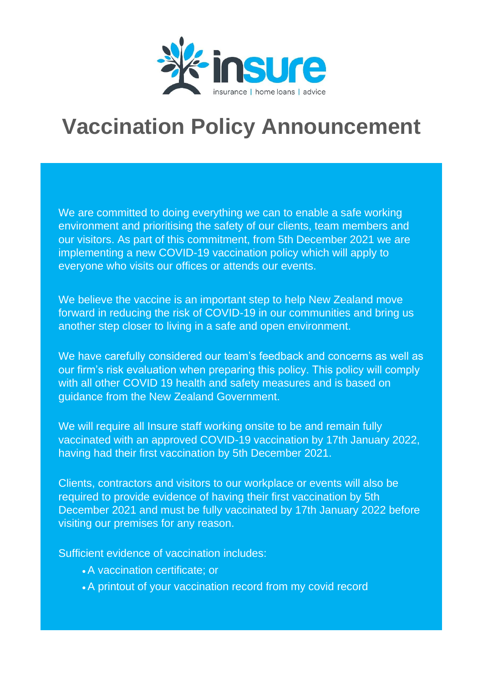

## **Vaccination Policy Announcement**

We are committed to doing everything we can to enable a safe working environment and prioritising the safety of our clients, team members and our visitors. As part of this commitment, from 5th December 2021 we are implementing a new COVID-19 vaccination policy which will apply to everyone who visits our offices or attends our events.

We believe the vaccine is an important step to help New Zealand move forward in reducing the risk of COVID-19 in our communities and bring us another step closer to living in a safe and open environment.

We have carefully considered our team's feedback and concerns as well as our firm's risk evaluation when preparing this policy. This policy will comply with all other COVID 19 health and safety measures and is based on guidance from the New Zealand Government.

We will require all Insure staff working onsite to be and remain fully vaccinated with an approved COVID-19 vaccination by 17th January 2022, having had their first vaccination by 5th December 2021.

Clients, contractors and visitors to our workplace or events will also be required to provide evidence of having their first vaccination by 5th December 2021 and must be fully vaccinated by 17th January 2022 before visiting our premises for any reason.

Sufficient evidence of vaccination includes:

- •A vaccination certificate; or
- •A printout of your vaccination record from my covid record